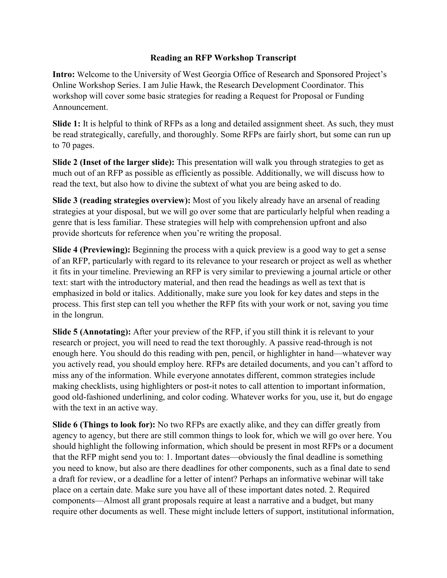## **Reading an RFP Workshop Transcript**

**Intro:** Welcome to the University of West Georgia Office of Research and Sponsored Project's Online Workshop Series. I am Julie Hawk, the Research Development Coordinator. This workshop will cover some basic strategies for reading a Request for Proposal or Funding Announcement.

**Slide 1:** It is helpful to think of RFPs as a long and detailed assignment sheet. As such, they must be read strategically, carefully, and thoroughly. Some RFPs are fairly short, but some can run up to 70 pages.

**Slide 2 (Inset of the larger slide):** This presentation will walk you through strategies to get as much out of an RFP as possible as efficiently as possible. Additionally, we will discuss how to read the text, but also how to divine the subtext of what you are being asked to do.

**Slide 3 (reading strategies overview):** Most of you likely already have an arsenal of reading strategies at your disposal, but we will go over some that are particularly helpful when reading a genre that is less familiar. These strategies will help with comprehension upfront and also provide shortcuts for reference when you're writing the proposal.

**Slide 4 (Previewing):** Beginning the process with a quick preview is a good way to get a sense of an RFP, particularly with regard to its relevance to your research or project as well as whether it fits in your timeline. Previewing an RFP is very similar to previewing a journal article or other text: start with the introductory material, and then read the headings as well as text that is emphasized in bold or italics. Additionally, make sure you look for key dates and steps in the process. This first step can tell you whether the RFP fits with your work or not, saving you time in the longrun.

**Slide 5 (Annotating):** After your preview of the RFP, if you still think it is relevant to your research or project, you will need to read the text thoroughly. A passive read-through is not enough here. You should do this reading with pen, pencil, or highlighter in hand—whatever way you actively read, you should employ here. RFPs are detailed documents, and you can't afford to miss any of the information. While everyone annotates different, common strategies include making checklists, using highlighters or post-it notes to call attention to important information, good old-fashioned underlining, and color coding. Whatever works for you, use it, but do engage with the text in an active way.

**Slide 6 (Things to look for):** No two RFPs are exactly alike, and they can differ greatly from agency to agency, but there are still common things to look for, which we will go over here. You should highlight the following information, which should be present in most RFPs or a document that the RFP might send you to: 1. Important dates—obviously the final deadline is something you need to know, but also are there deadlines for other components, such as a final date to send a draft for review, or a deadline for a letter of intent? Perhaps an informative webinar will take place on a certain date. Make sure you have all of these important dates noted. 2. Required components—Almost all grant proposals require at least a narrative and a budget, but many require other documents as well. These might include letters of support, institutional information,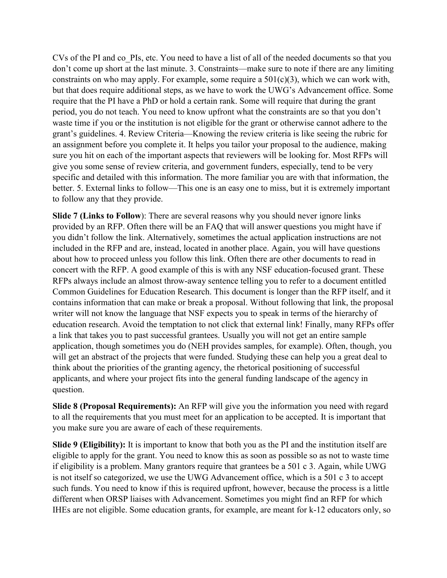CVs of the PI and co\_PIs, etc. You need to have a list of all of the needed documents so that you don't come up short at the last minute. 3. Constraints—make sure to note if there are any limiting constraints on who may apply. For example, some require a  $501(c)(3)$ , which we can work with, but that does require additional steps, as we have to work the UWG's Advancement office. Some require that the PI have a PhD or hold a certain rank. Some will require that during the grant period, you do not teach. You need to know upfront what the constraints are so that you don't waste time if you or the institution is not eligible for the grant or otherwise cannot adhere to the grant's guidelines. 4. Review Criteria—Knowing the review criteria is like seeing the rubric for an assignment before you complete it. It helps you tailor your proposal to the audience, making sure you hit on each of the important aspects that reviewers will be looking for. Most RFPs will give you some sense of review criteria, and government funders, especially, tend to be very specific and detailed with this information. The more familiar you are with that information, the better. 5. External links to follow—This one is an easy one to miss, but it is extremely important to follow any that they provide.

**Slide 7 (Links to Follow)**: There are several reasons why you should never ignore links provided by an RFP. Often there will be an FAQ that will answer questions you might have if you didn't follow the link. Alternatively, sometimes the actual application instructions are not included in the RFP and are, instead, located in another place. Again, you will have questions about how to proceed unless you follow this link. Often there are other documents to read in concert with the RFP. A good example of this is with any NSF education-focused grant. These RFPs always include an almost throw-away sentence telling you to refer to a document entitled Common Guidelines for Education Research. This document is longer than the RFP itself, and it contains information that can make or break a proposal. Without following that link, the proposal writer will not know the language that NSF expects you to speak in terms of the hierarchy of education research. Avoid the temptation to not click that external link! Finally, many RFPs offer a link that takes you to past successful grantees. Usually you will not get an entire sample application, though sometimes you do (NEH provides samples, for example). Often, though, you will get an abstract of the projects that were funded. Studying these can help you a great deal to think about the priorities of the granting agency, the rhetorical positioning of successful applicants, and where your project fits into the general funding landscape of the agency in question.

**Slide 8 (Proposal Requirements):** An RFP will give you the information you need with regard to all the requirements that you must meet for an application to be accepted. It is important that you make sure you are aware of each of these requirements.

**Slide 9 (Eligibility):** It is important to know that both you as the PI and the institution itself are eligible to apply for the grant. You need to know this as soon as possible so as not to waste time if eligibility is a problem. Many grantors require that grantees be a 501 c 3. Again, while UWG is not itself so categorized, we use the UWG Advancement office, which is a 501 c 3 to accept such funds. You need to know if this is required upfront, however, because the process is a little different when ORSP liaises with Advancement. Sometimes you might find an RFP for which IHEs are not eligible. Some education grants, for example, are meant for k-12 educators only, so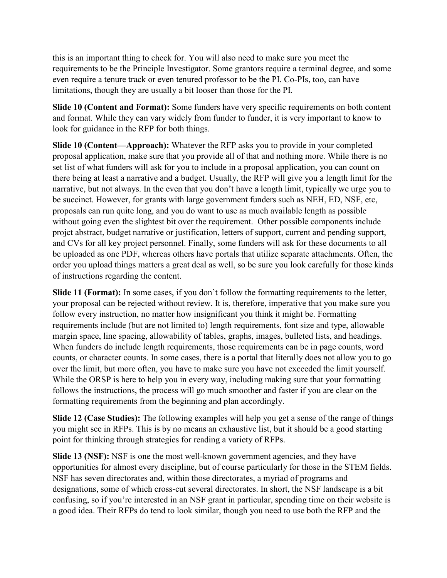this is an important thing to check for. You will also need to make sure you meet the requirements to be the Principle Investigator. Some grantors require a terminal degree, and some even require a tenure track or even tenured professor to be the PI. Co-PIs, too, can have limitations, though they are usually a bit looser than those for the PI.

**Slide 10 (Content and Format):** Some funders have very specific requirements on both content and format. While they can vary widely from funder to funder, it is very important to know to look for guidance in the RFP for both things.

**Slide 10 (Content—Approach):** Whatever the RFP asks you to provide in your completed proposal application, make sure that you provide all of that and nothing more. While there is no set list of what funders will ask for you to include in a proposal application, you can count on there being at least a narrative and a budget. Usually, the RFP will give you a length limit for the narrative, but not always. In the even that you don't have a length limit, typically we urge you to be succinct. However, for grants with large government funders such as NEH, ED, NSF, etc, proposals can run quite long, and you do want to use as much available length as possible without going even the slightest bit over the requirement. Other possible components include projct abstract, budget narrative or justification, letters of support, current and pending support, and CVs for all key project personnel. Finally, some funders will ask for these documents to all be uploaded as one PDF, whereas others have portals that utilize separate attachments. Often, the order you upload things matters a great deal as well, so be sure you look carefully for those kinds of instructions regarding the content.

**Slide 11 (Format):** In some cases, if you don't follow the formatting requirements to the letter, your proposal can be rejected without review. It is, therefore, imperative that you make sure you follow every instruction, no matter how insignificant you think it might be. Formatting requirements include (but are not limited to) length requirements, font size and type, allowable margin space, line spacing, allowability of tables, graphs, images, bulleted lists, and headings. When funders do include length requirements, those requirements can be in page counts, word counts, or character counts. In some cases, there is a portal that literally does not allow you to go over the limit, but more often, you have to make sure you have not exceeded the limit yourself. While the ORSP is here to help you in every way, including making sure that your formatting follows the instructions, the process will go much smoother and faster if you are clear on the formatting requirements from the beginning and plan accordingly.

**Slide 12 (Case Studies):** The following examples will help you get a sense of the range of things you might see in RFPs. This is by no means an exhaustive list, but it should be a good starting point for thinking through strategies for reading a variety of RFPs.

**Slide 13 (NSF):** NSF is one the most well-known government agencies, and they have opportunities for almost every discipline, but of course particularly for those in the STEM fields. NSF has seven directorates and, within those directorates, a myriad of programs and designations, some of which cross-cut several directorates. In short, the NSF landscape is a bit confusing, so if you're interested in an NSF grant in particular, spending time on their website is a good idea. Their RFPs do tend to look similar, though you need to use both the RFP and the